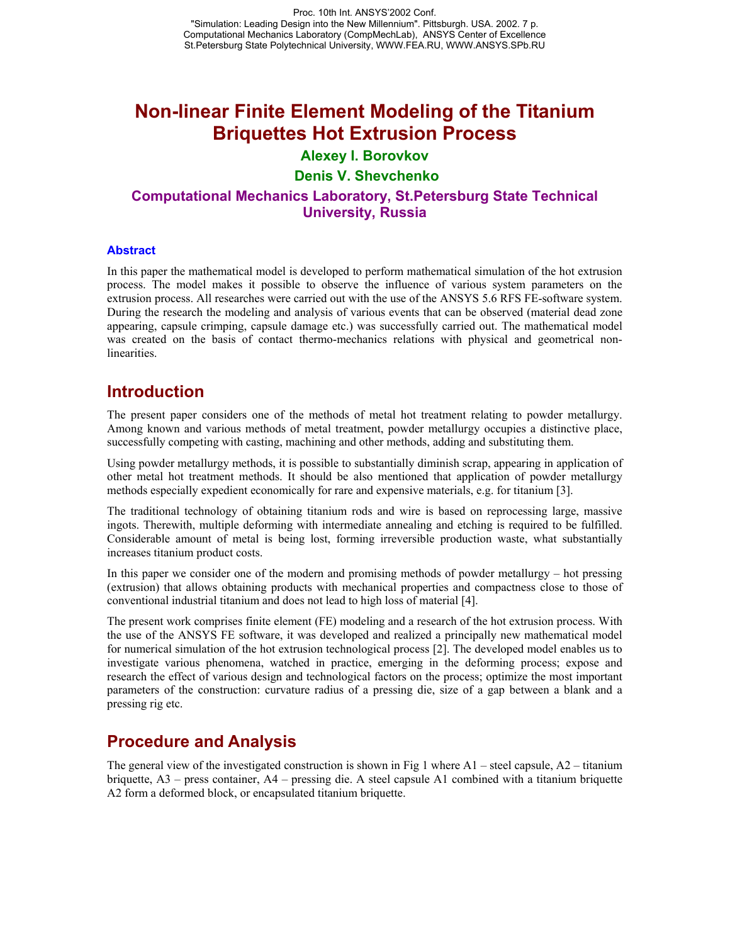# **Non-linear Finite Element Modeling of the Titanium Briquettes Hot Extrusion Process**

### **Alexey I. Borovkov**

#### **Denis V. Shevchenko**

### **Computational Mechanics Laboratory, St.Petersburg State Technical University, Russia**

#### **Abstract**

In this paper the mathematical model is developed to perform mathematical simulation of the hot extrusion process. The model makes it possible to observe the influence of various system parameters on the extrusion process. All researches were carried out with the use of the ANSYS 5.6 RFS FE-software system. During the research the modeling and analysis of various events that can be observed (material dead zone appearing, capsule crimping, capsule damage etc.) was successfully carried out. The mathematical model was created on the basis of contact thermo-mechanics relations with physical and geometrical nonlinearities.

## **Introduction**

The present paper considers one of the methods of metal hot treatment relating to powder metallurgy. Among known and various methods of metal treatment, powder metallurgy occupies a distinctive place, successfully competing with casting, machining and other methods, adding and substituting them.

Using powder metallurgy methods, it is possible to substantially diminish scrap, appearing in application of other metal hot treatment methods. It should be also mentioned that application of powder metallurgy methods especially expedient economically for rare and expensive materials, e.g. for titanium [3].

The traditional technology of obtaining titanium rods and wire is based on reprocessing large, massive ingots. Therewith, multiple deforming with intermediate annealing and etching is required to be fulfilled. Considerable amount of metal is being lost, forming irreversible production waste, what substantially increases titanium product costs.

In this paper we consider one of the modern and promising methods of powder metallurgy – hot pressing (extrusion) that allows obtaining products with mechanical properties and compactness close to those of conventional industrial titanium and does not lead to high loss of material [4].

The present work comprises finite element (FE) modeling and a research of the hot extrusion process. With the use of the ANSYS FE software, it was developed and realized a principally new mathematical model for numerical simulation of the hot extrusion technological process [2]. The developed model enables us to investigate various phenomena, watched in practice, emerging in the deforming process; expose and research the effect of various design and technological factors on the process; optimize the most important parameters of the construction: curvature radius of a pressing die, size of a gap between a blank and a pressing rig etc.

## **Procedure and Analysis**

The general view of the investigated construction is shown in Fig 1 where  $A1$  – steel capsule,  $A2$  – titanium briquette, A3 – press container, A4 – pressing die. A steel capsule A1 combined with a titanium briquette A2 form a deformed block, or encapsulated titanium briquette.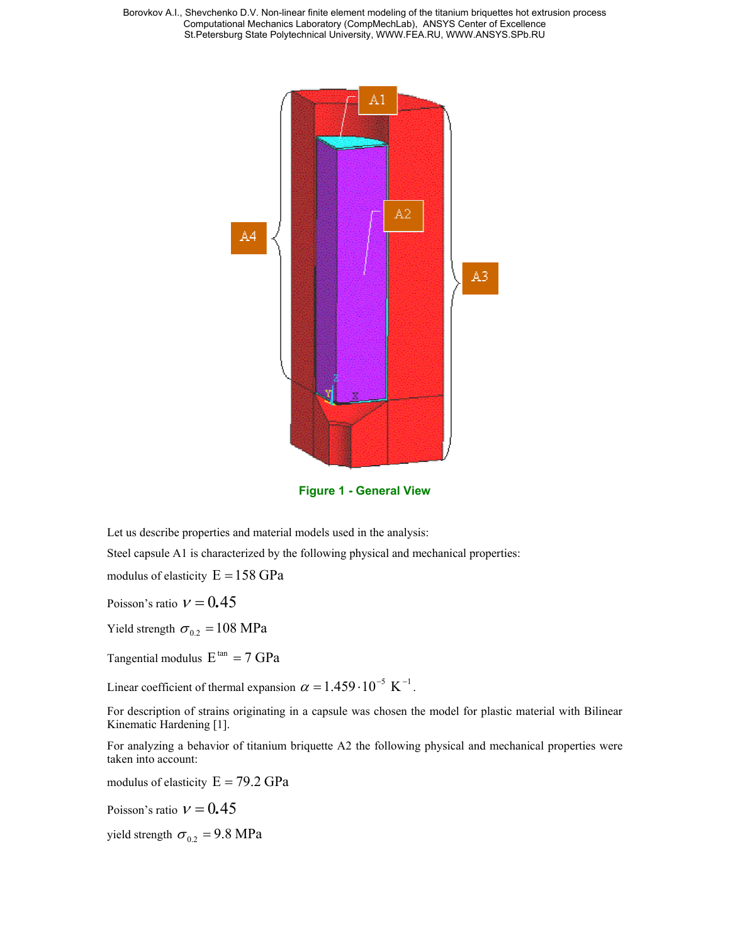Borovkov A.I., Shevchenko D.V. Non-linear finite element modeling of the titanium briquettes hot extrusion process Computational Mechanics Laboratory (CompMechLab), ANSYS Center of Excellence St.Petersburg State Polytechnical University, WWW.FEA.RU, WWW.ANSYS.SPb.RU



**Figure 1 - General View**

Let us describe properties and material models used in the analysis:

Steel capsule A1 is characterized by the following physical and mechanical properties:

modulus of elasticity  $E = 158$  GPa

Poisson's ratio  $v = 0.45$ 

Yield strength  $\sigma_{0.2} = 108 \text{ MPa}$ 

Tangential modulus  $E^{tan} = 7$  GPa

Linear coefficient of thermal expansion  $\alpha = 1.459 \cdot 10^{-5} \text{ K}^{-1}$ .

For description of strains originating in a capsule was chosen the model for plastic material with Bilinear Kinematic Hardening [1].

For analyzing a behavior of titanium briquette A2 the following physical and mechanical properties were taken into account:

modulus of elasticity  $E = 79.2 \text{ GPa}$ 

Poisson's ratio  $v = 0.45$ 

yield strength  $\sigma_{0.2} = 9.8 \text{ MPa}$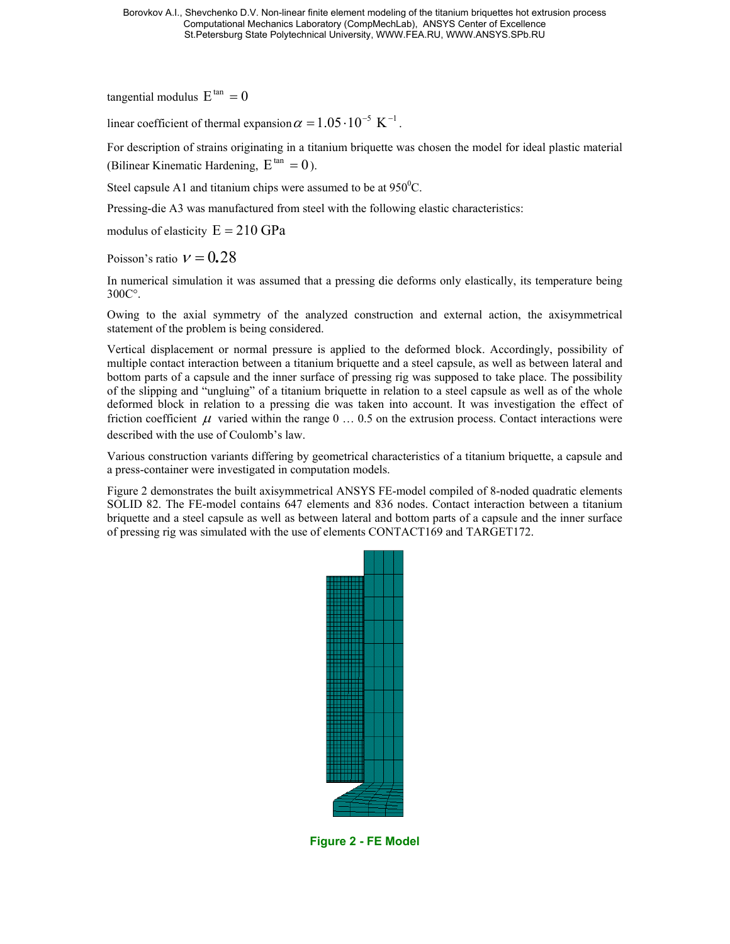Borovkov A.I., Shevchenko D.V. Non-linear finite element modeling of the titanium briquettes hot extrusion process Computational Mechanics Laboratory (CompMechLab), ANSYS Center of Excellence St.Petersburg State Polytechnical University, WWW.FEA.RU, WWW.ANSYS.SPb.RU

tangential modulus  $E^{tan} = 0$ 

linear coefficient of thermal expansion  $\alpha = 1.05 \cdot 10^{-5} \text{ K}^{-1}$ .

For description of strains originating in a titanium briquette was chosen the model for ideal plastic material (Bilinear Kinematic Hardening,  $E^{tan} = 0$ ).

Steel capsule A1 and titanium chips were assumed to be at  $950^{\circ}$ C.

Pressing-die A3 was manufactured from steel with the following elastic characteristics:

modulus of elasticity  $E = 210$  GPa

Poisson's ratio  $v = 0.28$ 

In numerical simulation it was assumed that a pressing die deforms only elastically, its temperature being 300С°.

Owing to the axial symmetry of the analyzed construction and external action, the axisymmetrical statement of the problem is being considered.

Vertical displacement or normal pressure is applied to the deformed block. Accordingly, possibility of multiple contact interaction between a titanium briquette and a steel capsule, as well as between lateral and bottom parts of a capsule and the inner surface of pressing rig was supposed to take place. The possibility of the slipping and "ungluing" of a titanium briquette in relation to a steel capsule as well as of the whole deformed block in relation to a pressing die was taken into account. It was investigation the effect of friction coefficient  $\mu$  varied within the range 0  $\dots$  0.5 on the extrusion process. Contact interactions were described with the use of Coulomb's law.

Various construction variants differing by geometrical characteristics of a titanium briquette, a capsule and a press-container were investigated in computation models.

Figure 2 demonstrates the built axisymmetrical ANSYS FE-model compiled of 8-noded quadratic elements SOLID 82. The FE-model contains 647 elements and 836 nodes. Contact interaction between a titanium briquette and a steel capsule as well as between lateral and bottom parts of a capsule and the inner surface of pressing rig was simulated with the use of elements CONTACT169 and TARGET172.



**Figure 2 - FE Model**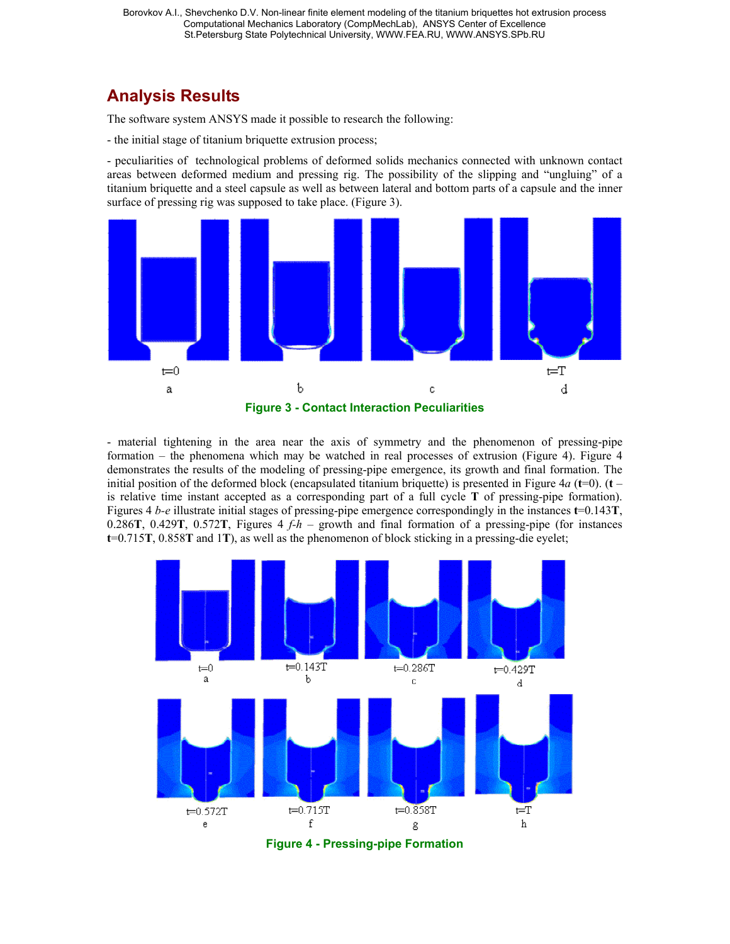# **Analysis Results**

The software system ANSYS made it possible to research the following:

- the initial stage of titanium briquette extrusion process;

- peculiarities of technological problems of deformed solids mechanics connected with unknown contact areas between deformed medium and pressing rig. The possibility of the slipping and "ungluing" of a titanium briquette and a steel capsule as well as between lateral and bottom parts of a capsule and the inner surface of pressing rig was supposed to take place. (Figure 3).



- material tightening in the area near the axis of symmetry and the phenomenon of pressing-pipe formation – the phenomena which may be watched in real processes of extrusion (Figure 4). Figure 4 demonstrates the results of the modeling of pressing-pipe emergence, its growth and final formation. The initial position of the deformed block (encapsulated titanium briquette) is presented in Figure  $4a$  ( $t=0$ ). ( $t$ is relative time instant accepted as a corresponding part of a full cycle **T** of pressing-pipe formation). Figures 4 *b-e* illustrate initial stages of pressing-pipe emergence correspondingly in the instances **t**=0.143**T**, 0.286**T**, 0.429**T**, 0.572**T**, Figures 4 *f-h* – growth and final formation of a pressing-pipe (for instances **t**=0.715**T**, 0.858**T** and 1**T**), as well as the phenomenon of block sticking in a pressing-die eyelet;

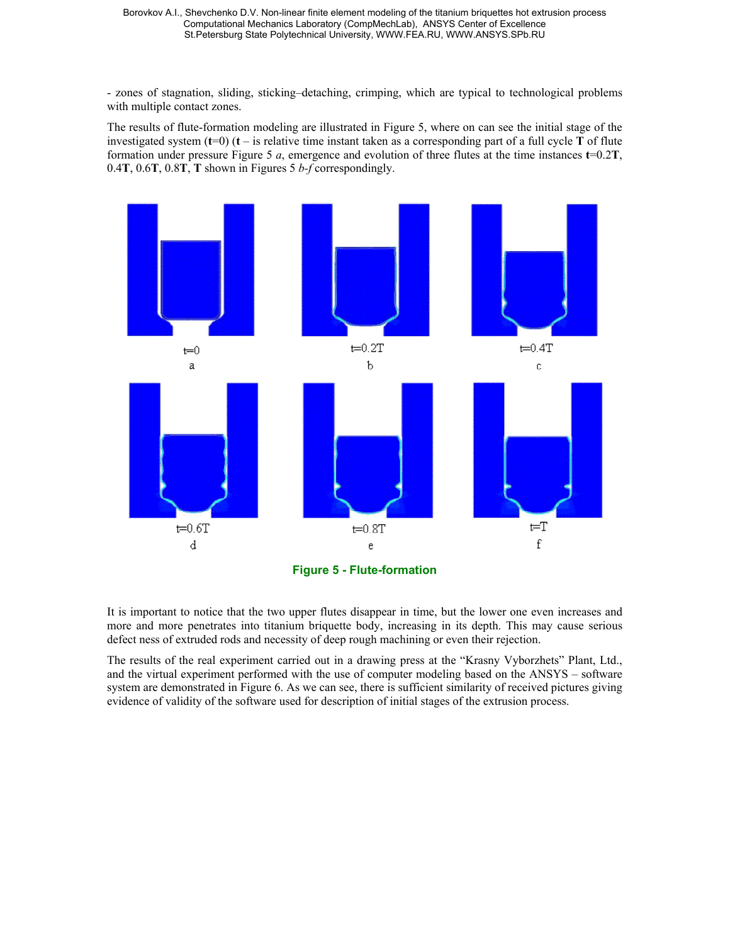- zones of stagnation, sliding, sticking–detaching, crimping, which are typical to technological problems with multiple contact zones.

The results of flute-formation modeling are illustrated in Figure 5, where on can see the initial stage of the investigated system  $(t=0)$   $(t - is$  relative time instant taken as a corresponding part of a full cycle **T** of flute formation under pressure Figure 5 *a*, emergence and evolution of three flutes at the time instances **t**=0.2**T**, 0.4**T**, 0.6**T**, 0.8**T**, **T** shown in Figures 5 *b-f* correspondingly.



It is important to notice that the two upper flutes disappear in time, but the lower one even increases and more and more penetrates into titanium briquette body, increasing in its depth. This may cause serious defect ness of extruded rods and necessity of deep rough machining or even their rejection.

The results of the real experiment carried out in a drawing press at the "Krasny Vyborzhets" Plant, Ltd., and the virtual experiment performed with the use of computer modeling based on the ANSYS – software system are demonstrated in Figure 6. As we can see, there is sufficient similarity of received pictures giving evidence of validity of the software used for description of initial stages of the extrusion process.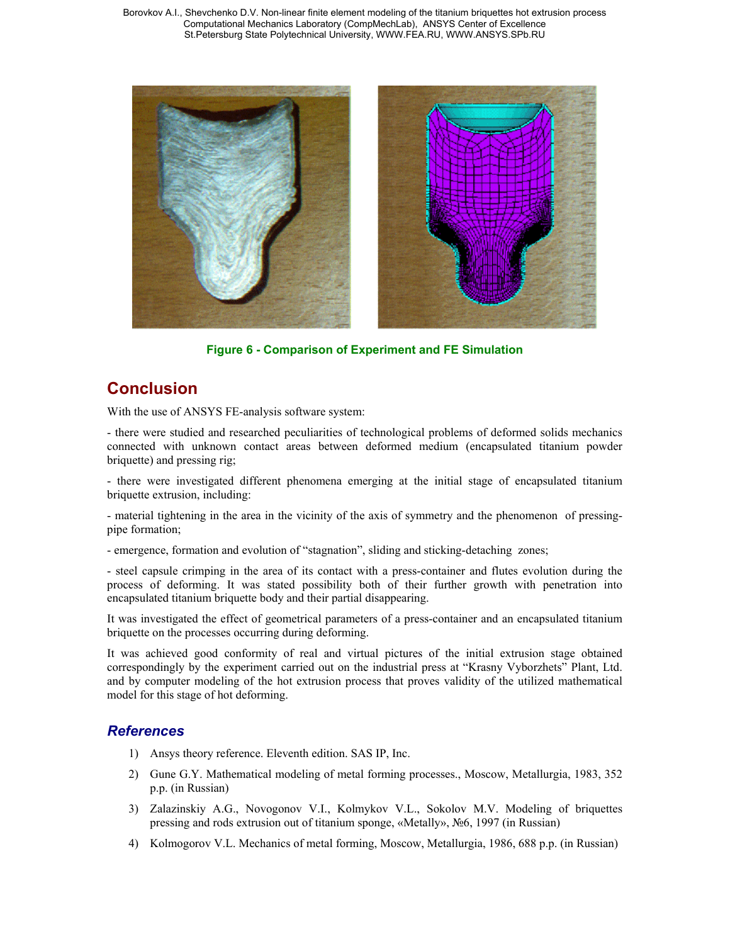Borovkov A.I., Shevchenko D.V. Non-linear finite element modeling of the titanium briquettes hot extrusion process Computational Mechanics Laboratory (CompMechLab), ANSYS Center of Excellence St.Petersburg State Polytechnical University, WWW.FEA.RU, WWW.ANSYS.SPb.RU



**Figure 6 - Comparison of Experiment and FE Simulation**

## **Conclusion**

With the use of ANSYS FE-analysis software system:

- there were studied and researched peculiarities of technological problems of deformed solids mechanics connected with unknown contact areas between deformed medium (encapsulated titanium powder briquette) and pressing rig;

- there were investigated different phenomena emerging at the initial stage of encapsulated titanium briquette extrusion, including:

- material tightening in the area in the vicinity of the axis of symmetry and the phenomenon of pressingpipe formation;

- emergence, formation and evolution of "stagnation", sliding and sticking-detaching zones;

- steel capsule crimping in the area of its contact with a press-container and flutes evolution during the process of deforming. It was stated possibility both of their further growth with penetration into encapsulated titanium briquette body and their partial disappearing.

It was investigated the effect of geometrical parameters of a press-container and an encapsulated titanium briquette on the processes occurring during deforming.

It was achieved good conformity of real and virtual pictures of the initial extrusion stage obtained correspondingly by the experiment carried out on the industrial press at "Krasny Vyborzhets" Plant, Ltd. and by computer modeling of the hot extrusion process that proves validity of the utilized mathematical model for this stage of hot deforming.

#### *References*

- 1) Ansys theory reference. Eleventh edition. SAS IP, Inc.
- 2) Gune G.Y. Mathematical modeling of metal forming processes., Moscow, Metallurgia, 1983, 352 p.p. (in Russian)
- 3) Zalazinskiy A.G., Novogonov V.I., Kolmykov V.L., Sokolov M.V. Modeling of briquettes pressing and rods extrusion out of titanium sponge, «Metally», №6, 1997 (in Russian)
- 4) Kolmogorov V.L. Mechanics of metal forming, Moscow, Metallurgia, 1986, 688 p.p. (in Russian)